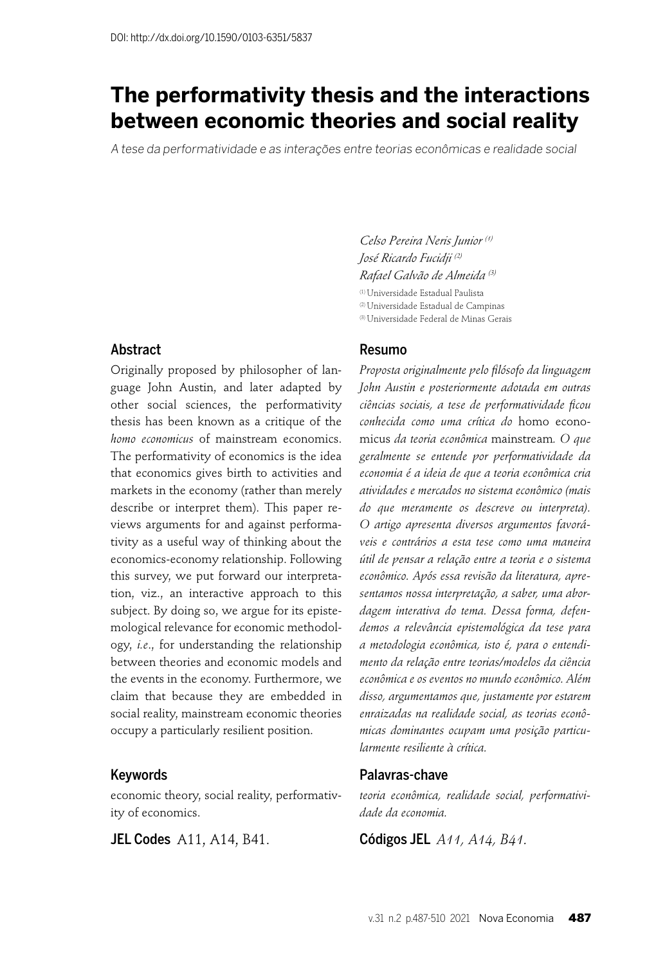# **The performativity thesis and the interactions between economic theories and social reality**

A tese da performatividade e as interações entre teorias econômicas e realidade social

*Celso Pereira Neris Junior (1) José Ricardo Fucidji (2) Rafael Galvão de Almeida (3)* (1) Universidade Estadual Paulista

(2) Universidade Estadual de Campinas

(3) Universidade Federal de Minas Gerais

#### Abstract

Originally proposed by philosopher of language John Austin, and later adapted by other social sciences, the performativity thesis has been known as a critique of the *homo economicus* of mainstream economics. The performativity of economics is the idea that economics gives birth to activities and markets in the economy (rather than merely describe or interpret them). This paper reviews arguments for and against performativity as a useful way of thinking about the economics-economy relationship. Following this survey, we put forward our interpretation, viz., an interactive approach to this subject. By doing so, we argue for its epistemological relevance for economic methodology, *i.e*., for understanding the relationship between theories and economic models and the events in the economy. Furthermore, we claim that because they are embedded in social reality, mainstream economic theories occupy a particularly resilient position.

#### Keywords

economic theory, social reality, performativity of economics.

**JEL Codes** A11, A14, B41.

#### Resumo

*Proposta originalmente pelo fi lósofo da linguagem John Austin e posteriormente adotada em outras ciências sociais, a tese de performatividade fi cou conhecida como uma crítica do* homo economicus *da teoria econômica* mainstream*. O que geralmente se entende por performatividade da economia é a ideia de que a teoria econômica cria atividades e mercados no sistema econômico (mais do que meramente os descreve ou interpreta). O artigo apresenta diversos argumentos favoráveis e contrários a esta tese como uma maneira útil de pensar a relação entre a teoria e o sistema econômico. Após essa revisão da literatura, apresentamos nossa interpretação, a saber, uma abordagem interativa do tema. Dessa forma, defendemos a relevância epistemológica da tese para a metodologia econômica, isto é, para o entendimento da relação entre teorias/modelos da ciência econômica e os eventos no mundo econômico. Além disso, argumentamos que, justamente por estarem enraizadas na realidade social, as teorias econômicas dominantes ocupam uma posição particularmente resiliente à crítica.*

#### Palavras-chave

*teoria econômica, realidade social, performatividade da economia.*

Códigos JEL *A11, A14, B41.*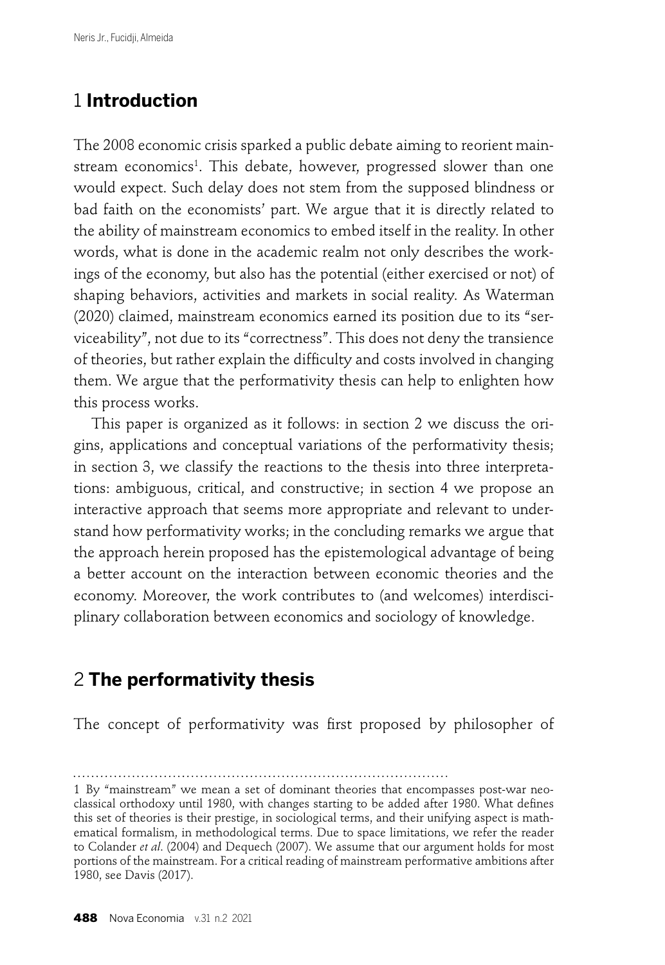# 1 **Introduction**

The 2008 economic crisis sparked a public debate aiming to reorient mainstream economics<sup>1</sup>. This debate, however, progressed slower than one would expect. Such delay does not stem from the supposed blindness or bad faith on the economists' part. We argue that it is directly related to the ability of mainstream economics to embed itself in the reality. In other words, what is done in the academic realm not only describes the workings of the economy, but also has the potential (either exercised or not) of shaping behaviors, activities and markets in social reality. As Waterman (2020) claimed, mainstream economics earned its position due to its "serviceability", not due to its "correctness". This does not deny the transience of theories, but rather explain the difficulty and costs involved in changing them. We argue that the performativity thesis can help to enlighten how this process works.

This paper is organized as it follows: in section 2 we discuss the origins, applications and conceptual variations of the performativity thesis; in section 3, we classify the reactions to the thesis into three interpretations: ambiguous, critical, and constructive; in section 4 we propose an interactive approach that seems more appropriate and relevant to understand how performativity works; in the concluding remarks we argue that the approach herein proposed has the epistemological advantage of being a better account on the interaction between economic theories and the economy. Moreover, the work contributes to (and welcomes) interdisciplinary collaboration between economics and sociology of knowledge.

# 2 **The performativity thesis**

The concept of performativity was first proposed by philosopher of

<sup>1</sup> By "mainstream" we mean a set of dominant theories that encompasses post-war neoclassical orthodoxy until 1980, with changes starting to be added after 1980. What defines this set of theories is their prestige, in sociological terms, and their unifying aspect is mathematical formalism, in methodological terms. Due to space limitations, we refer the reader to Colander *et al*. (2004) and Dequech (2007). We assume that our argument holds for most portions of the mainstream. For a critical reading of mainstream performative ambitions after 1980, see Davis (2017).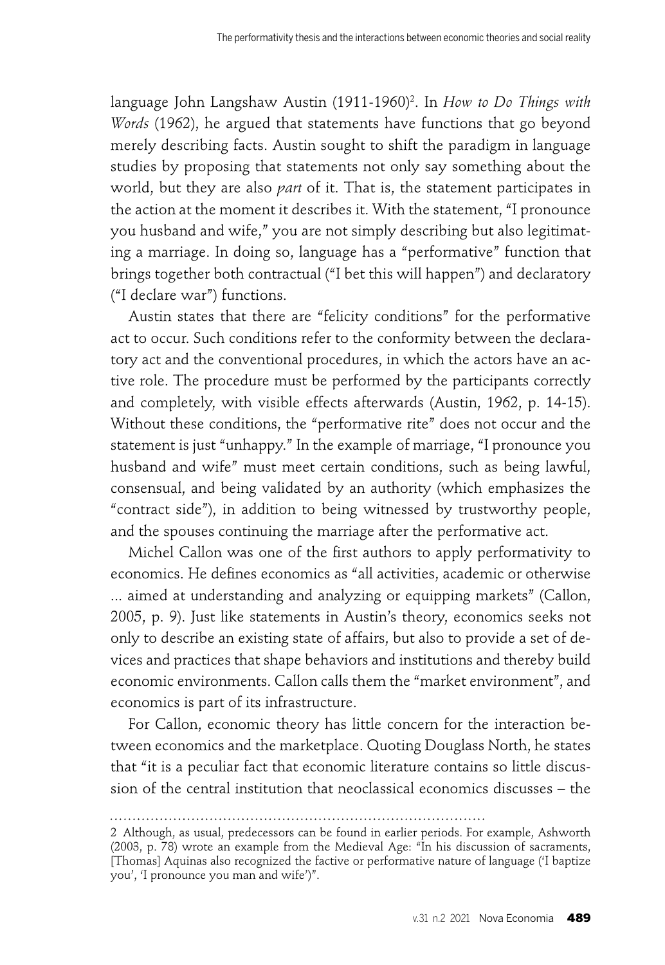language John Langshaw Austin (1911-1960)<sup>2</sup>. In *How to Do Things with Words* (1962), he argued that statements have functions that go beyond merely describing facts. Austin sought to shift the paradigm in language studies by proposing that statements not only say something about the world, but they are also *part* of it. That is, the statement participates in the action at the moment it describes it. With the statement, "I pronounce you husband and wife," you are not simply describing but also legitimating a marriage. In doing so, language has a "performative" function that brings together both contractual ("I bet this will happen") and declaratory ("I declare war") functions.

Austin states that there are "felicity conditions" for the performative act to occur. Such conditions refer to the conformity between the declaratory act and the conventional procedures, in which the actors have an active role. The procedure must be performed by the participants correctly and completely, with visible effects afterwards (Austin, 1962, p. 14-15). Without these conditions, the "performative rite" does not occur and the statement is just "unhappy." In the example of marriage, "I pronounce you husband and wife" must meet certain conditions, such as being lawful, consensual, and being validated by an authority (which emphasizes the "contract side"), in addition to being witnessed by trustworthy people, and the spouses continuing the marriage after the performative act.

Michel Callon was one of the first authors to apply performativity to economics. He defines economics as "all activities, academic or otherwise ... aimed at understanding and analyzing or equipping markets" (Callon, 2005, p. 9). Just like statements in Austin's theory, economics seeks not only to describe an existing state of affairs, but also to provide a set of devices and practices that shape behaviors and institutions and thereby build economic environments. Callon calls them the "market environment", and economics is part of its infrastructure.

For Callon, economic theory has little concern for the interaction between economics and the marketplace. Quoting Douglass North, he states that "it is a peculiar fact that economic literature contains so little discussion of the central institution that neoclassical economics discusses – the

<sup>2</sup> Although, as usual, predecessors can be found in earlier periods. For example, Ashworth (2003, p. 78) wrote an example from the Medieval Age: "In his discussion of sacraments, [Thomas] Aquinas also recognized the factive or performative nature of language ('I baptize you', 'I pronounce you man and wife')".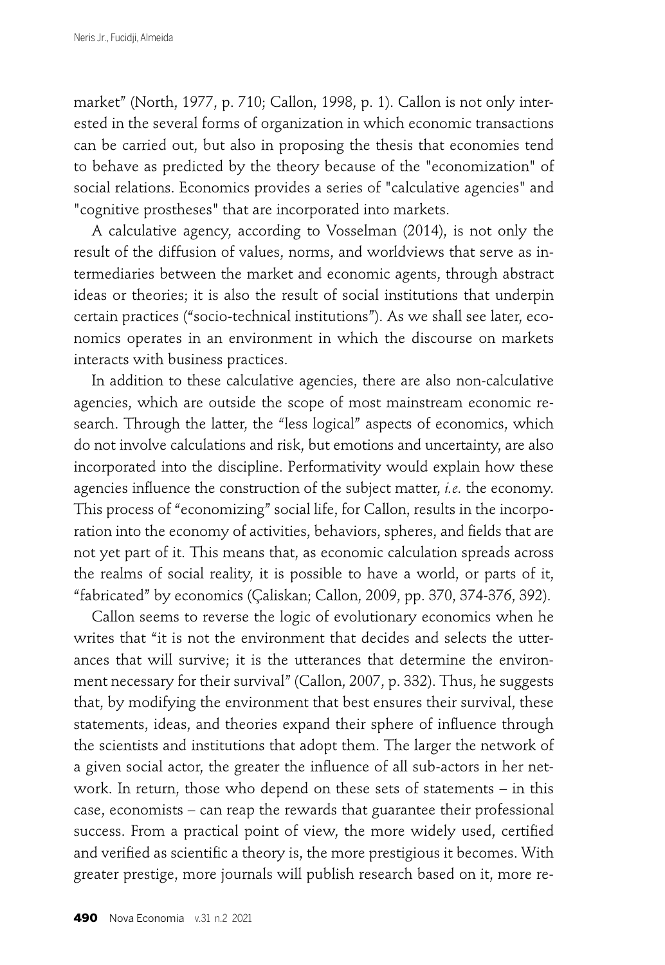market" (North, 1977, p. 710; Callon, 1998, p. 1). Callon is not only interested in the several forms of organization in which economic transactions can be carried out, but also in proposing the thesis that economies tend to behave as predicted by the theory because of the "economization" of social relations. Economics provides a series of "calculative agencies" and "cognitive prostheses" that are incorporated into markets.

A calculative agency, according to Vosselman (2014), is not only the result of the diffusion of values, norms, and worldviews that serve as intermediaries between the market and economic agents, through abstract ideas or theories; it is also the result of social institutions that underpin certain practices ("socio-technical institutions"). As we shall see later, economics operates in an environment in which the discourse on markets interacts with business practices.

In addition to these calculative agencies, there are also non-calculative agencies, which are outside the scope of most mainstream economic research. Through the latter, the "less logical" aspects of economics, which do not involve calculations and risk, but emotions and uncertainty, are also incorporated into the discipline. Performativity would explain how these agencies influence the construction of the subject matter, *i.e.* the economy. This process of "economizing" social life, for Callon, results in the incorporation into the economy of activities, behaviors, spheres, and fields that are not yet part of it. This means that, as economic calculation spreads across the realms of social reality, it is possible to have a world, or parts of it, "fabricated" by economics (Çaliskan; Callon, 2009, pp. 370, 374-376, 392).

Callon seems to reverse the logic of evolutionary economics when he writes that "it is not the environment that decides and selects the utterances that will survive; it is the utterances that determine the environment necessary for their survival" (Callon, 2007, p. 332). Thus, he suggests that, by modifying the environment that best ensures their survival, these statements, ideas, and theories expand their sphere of influence through the scientists and institutions that adopt them. The larger the network of a given social actor, the greater the influence of all sub-actors in her network. In return, those who depend on these sets of statements – in this case, economists – can reap the rewards that guarantee their professional success. From a practical point of view, the more widely used, certified and verified as scientific a theory is, the more prestigious it becomes. With greater prestige, more journals will publish research based on it, more re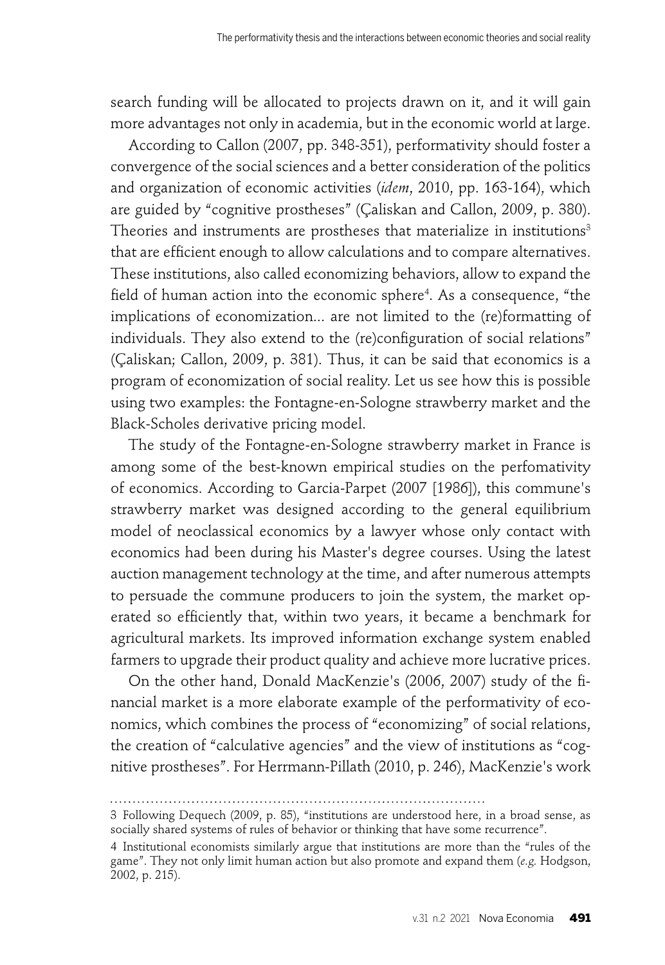search funding will be allocated to projects drawn on it, and it will gain more advantages not only in academia, but in the economic world at large.

According to Callon (2007, pp. 348-351), performativity should foster a convergence of the social sciences and a better consideration of the politics and organization of economic activities (*idem*, 2010, pp. 163-164), which are guided by "cognitive prostheses" (Çaliskan and Callon, 2009, p. 380). Theories and instruments are prostheses that materialize in institutions<sup>3</sup> that are efficient enough to allow calculations and to compare alternatives. These institutions, also called economizing behaviors, allow to expand the field of human action into the economic sphere<sup>4</sup>. As a consequence, "the implications of economization... are not limited to the (re)formatting of individuals. They also extend to the (re)configuration of social relations" (Çaliskan; Callon, 2009, p. 381). Thus, it can be said that economics is a program of economization of social reality. Let us see how this is possible using two examples: the Fontagne-en-Sologne strawberry market and the Black-Scholes derivative pricing model.

The study of the Fontagne-en-Sologne strawberry market in France is among some of the best-known empirical studies on the perfomativity of economics. According to Garcia-Parpet (2007 [1986]), this commune's strawberry market was designed according to the general equilibrium model of neoclassical economics by a lawyer whose only contact with economics had been during his Master's degree courses. Using the latest auction management technology at the time, and after numerous attempts to persuade the commune producers to join the system, the market operated so efficiently that, within two years, it became a benchmark for agricultural markets. Its improved information exchange system enabled farmers to upgrade their product quality and achieve more lucrative prices.

On the other hand, Donald MacKenzie's (2006, 2007) study of the financial market is a more elaborate example of the performativity of economics, which combines the process of "economizing" of social relations, the creation of "calculative agencies" and the view of institutions as "cognitive prostheses". For Herrmann-Pillath (2010, p. 246), MacKenzie's work

<sup>3</sup> Following Dequech (2009, p. 85), "institutions are understood here, in a broad sense, as socially shared systems of rules of behavior or thinking that have some recurrence".

<sup>4</sup> Institutional economists similarly argue that institutions are more than the "rules of the game". They not only limit human action but also promote and expand them (*e.g.* Hodgson, 2002, p. 215).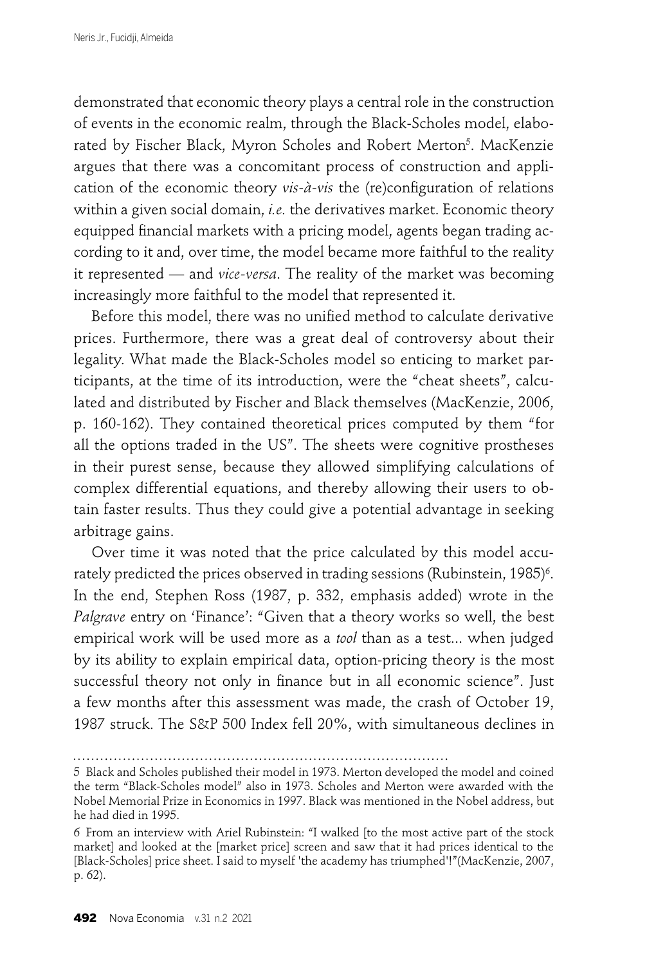demonstrated that economic theory plays a central role in the construction of events in the economic realm, through the Black-Scholes model, elaborated by Fischer Black, Myron Scholes and Robert Merton<sup>5</sup>. MacKenzie argues that there was a concomitant process of construction and application of the economic theory *vis-à-vis* the (re)configuration of relations within a given social domain, *i.e.* the derivatives market. Economic theory equipped financial markets with a pricing model, agents began trading according to it and, over time, the model became more faithful to the reality it represented — and *vice-versa*. The reality of the market was becoming increasingly more faithful to the model that represented it.

Before this model, there was no unified method to calculate derivative prices. Furthermore, there was a great deal of controversy about their legality. What made the Black-Scholes model so enticing to market participants, at the time of its introduction, were the "cheat sheets", calculated and distributed by Fischer and Black themselves (MacKenzie, 2006, p. 160-162). They contained theoretical prices computed by them "for all the options traded in the US". The sheets were cognitive prostheses in their purest sense, because they allowed simplifying calculations of complex differential equations, and thereby allowing their users to obtain faster results. Thus they could give a potential advantage in seeking arbitrage gains.

Over time it was noted that the price calculated by this model accurately predicted the prices observed in trading sessions (Rubinstein, 1985)<sup>6</sup>. In the end, Stephen Ross (1987, p. 332, emphasis added) wrote in the *Palgrave* entry on 'Finance': "Given that a theory works so well, the best empirical work will be used more as a *tool* than as a test... when judged by its ability to explain empirical data, option-pricing theory is the most successful theory not only in finance but in all economic science". Just a few months after this assessment was made, the crash of October 19, 1987 struck. The S&P 500 Index fell 20%, with simultaneous declines in

<sup>5</sup> Black and Scholes published their model in 1973. Merton developed the model and coined the term "Black-Scholes model" also in 1973. Scholes and Merton were awarded with the Nobel Memorial Prize in Economics in 1997. Black was mentioned in the Nobel address, but he had died in 1995.

<sup>6</sup> From an interview with Ariel Rubinstein: "I walked [to the most active part of the stock market] and looked at the [market price] screen and saw that it had prices identical to the [Black-Scholes] price sheet. I said to myself 'the academy has triumphed'!"(MacKenzie, 2007, p. 62).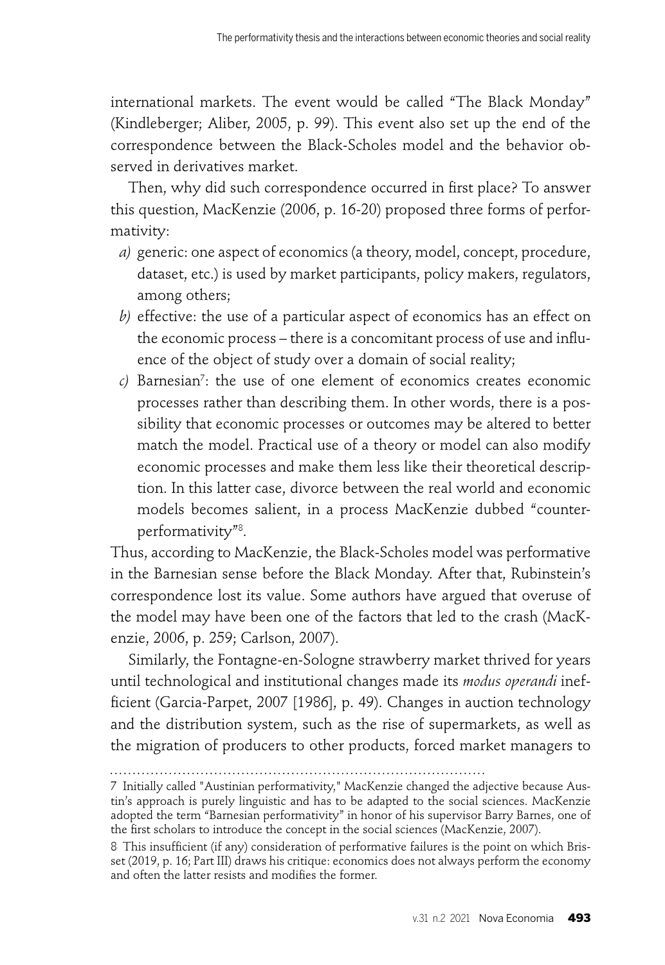international markets. The event would be called "The Black Monday" (Kindleberger; Aliber, 2005, p. 99). This event also set up the end of the correspondence between the Black-Scholes model and the behavior observed in derivatives market.

Then, why did such correspondence occurred in first place? To answer this question, MacKenzie (2006, p. 16-20) proposed three forms of performativity:

- *a)* generic: one aspect of economics (a theory, model, concept, procedure, dataset, etc.) is used by market participants, policy makers, regulators, among others;
- *b)* effective: the use of a particular aspect of economics has an effect on the economic process – there is a concomitant process of use and influence of the object of study over a domain of social reality;
- *c)* Barnesian7 : the use of one element of economics creates economic processes rather than describing them. In other words, there is a possibility that economic processes or outcomes may be altered to better match the model. Practical use of a theory or model can also modify economic processes and make them less like their theoretical description. In this latter case, divorce between the real world and economic models becomes salient, in a process MacKenzie dubbed "counterperformativity"8 .

Thus, according to MacKenzie, the Black-Scholes model was performative in the Barnesian sense before the Black Monday. After that, Rubinstein's correspondence lost its value. Some authors have argued that overuse of the model may have been one of the factors that led to the crash (MacKenzie, 2006, p. 259; Carlson, 2007).

Similarly, the Fontagne-en-Sologne strawberry market thrived for years until technological and institutional changes made its *modus operandi* inefficient (Garcia-Parpet, 2007 [1986], p. 49). Changes in auction technology and the distribution system, such as the rise of supermarkets, as well as the migration of producers to other products, forced market managers to

<sup>7</sup> Initially called "Austinian performativity," MacKenzie changed the adjective because Austin's approach is purely linguistic and has to be adapted to the social sciences. MacKenzie adopted the term "Barnesian performativity" in honor of his supervisor Barry Barnes, one of the first scholars to introduce the concept in the social sciences (MacKenzie, 2007).

<sup>8</sup> This insufficient (if any) consideration of performative failures is the point on which Brisset (2019, p. 16; Part III) draws his critique: economics does not always perform the economy and often the latter resists and modifies the former.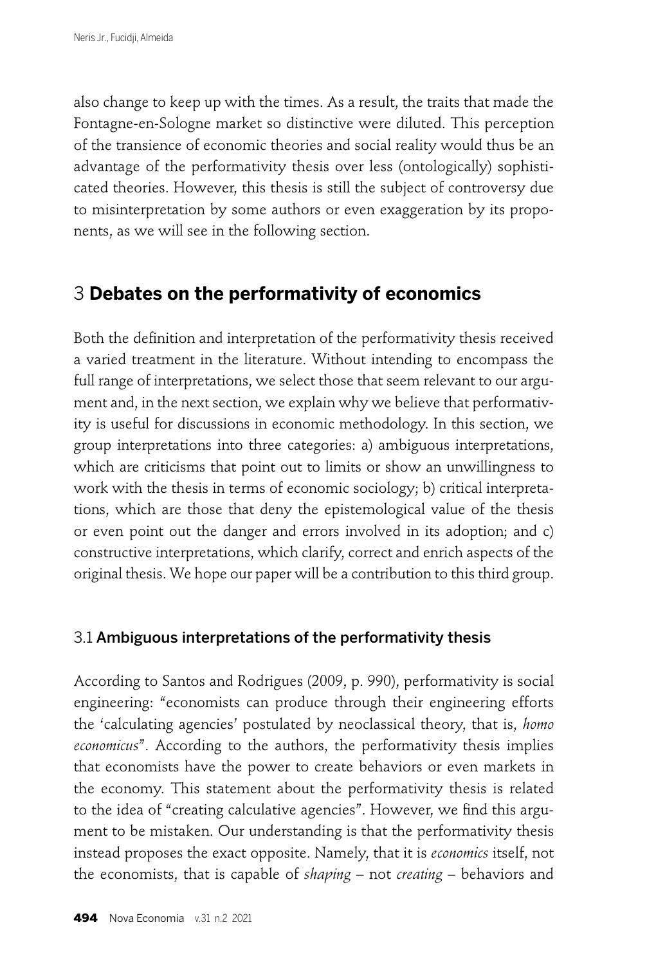also change to keep up with the times. As a result, the traits that made the Fontagne-en-Sologne market so distinctive were diluted. This perception of the transience of economic theories and social reality would thus be an advantage of the performativity thesis over less (ontologically) sophisticated theories. However, this thesis is still the subject of controversy due to misinterpretation by some authors or even exaggeration by its proponents, as we will see in the following section.

## 3 **Debates on the performativity of economics**

Both the definition and interpretation of the performativity thesis received a varied treatment in the literature. Without intending to encompass the full range of interpretations, we select those that seem relevant to our argument and, in the next section, we explain why we believe that performativity is useful for discussions in economic methodology. In this section, we group interpretations into three categories: a) ambiguous interpretations, which are criticisms that point out to limits or show an unwillingness to work with the thesis in terms of economic sociology; b) critical interpretations, which are those that deny the epistemological value of the thesis or even point out the danger and errors involved in its adoption; and c) constructive interpretations, which clarify, correct and enrich aspects of the original thesis. We hope our paper will be a contribution to this third group.

## 3.1 Ambiguous interpretations of the performativity thesis

According to Santos and Rodrigues (2009, p. 990), performativity is social engineering: "economists can produce through their engineering efforts the 'calculating agencies' postulated by neoclassical theory, that is, *homo economicus*". According to the authors, the performativity thesis implies that economists have the power to create behaviors or even markets in the economy. This statement about the performativity thesis is related to the idea of "creating calculative agencies". However, we find this argument to be mistaken. Our understanding is that the performativity thesis instead proposes the exact opposite. Namely, that it is *economics* itself, not the economists, that is capable of *shaping* – not *creating* – behaviors and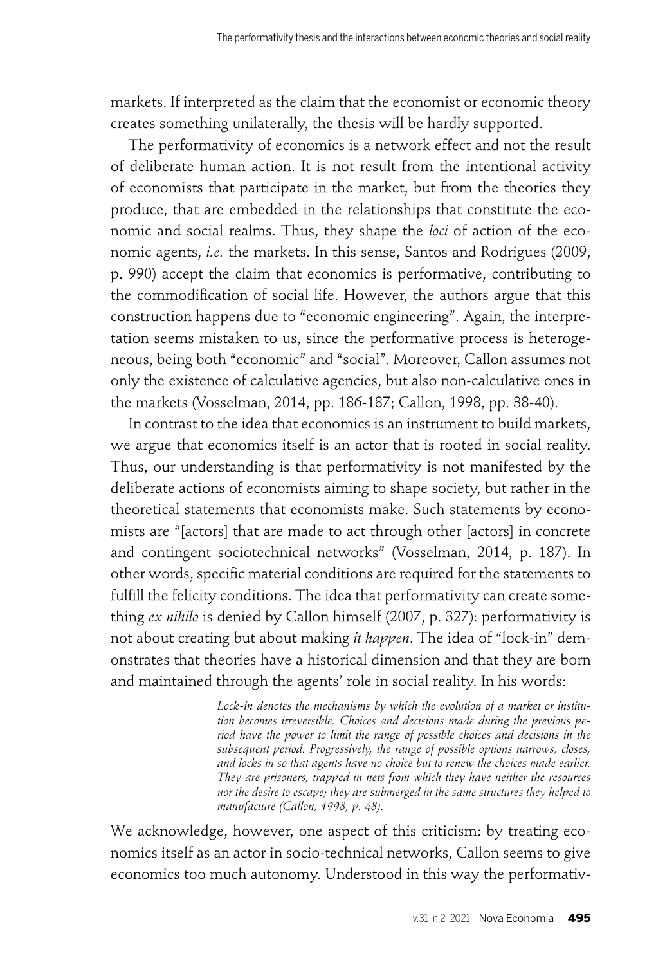markets. If interpreted as the claim that the economist or economic theory creates something unilaterally, the thesis will be hardly supported.

The performativity of economics is a network effect and not the result of deliberate human action. It is not result from the intentional activity of economists that participate in the market, but from the theories they produce, that are embedded in the relationships that constitute the economic and social realms. Thus, they shape the *loci* of action of the economic agents, *i.e.* the markets. In this sense, Santos and Rodrigues (2009, p. 990) accept the claim that economics is performative, contributing to the commodification of social life. However, the authors argue that this construction happens due to "economic engineering". Again, the interpretation seems mistaken to us, since the performative process is heterogeneous, being both "economic" and "social". Moreover, Callon assumes not only the existence of calculative agencies, but also non-calculative ones in the markets (Vosselman, 2014, pp. 186-187; Callon, 1998, pp. 38-40).

In contrast to the idea that economics is an instrument to build markets, we argue that economics itself is an actor that is rooted in social reality. Thus, our understanding is that performativity is not manifested by the deliberate actions of economists aiming to shape society, but rather in the theoretical statements that economists make. Such statements by economists are "[actors] that are made to act through other [actors] in concrete and contingent sociotechnical networks" (Vosselman, 2014, p. 187). In other words, specific material conditions are required for the statements to fulfill the felicity conditions. The idea that performativity can create something *ex nihilo* is denied by Callon himself (2007, p. 327): performativity is not about creating but about making *it happen*. The idea of "lock-in" demonstrates that theories have a historical dimension and that they are born and maintained through the agents' role in social reality. In his words:

> *Lock-in denotes the mechanisms by which the evolution of a market or institution becomes irreversible. Choices and decisions made during the previous period have the power to limit the range of possible choices and decisions in the subsequent period. Progressively, the range of possible options narrows, closes, and locks in so that agents have no choice but to renew the choices made earlier. They are prisoners, trapped in nets from which they have neither the resources nor the desire to escape; they are submerged in the same structures they helped to manufacture (Callon, 1998, p. 48).*

We acknowledge, however, one aspect of this criticism: by treating economics itself as an actor in socio-technical networks, Callon seems to give economics too much autonomy. Understood in this way the performativ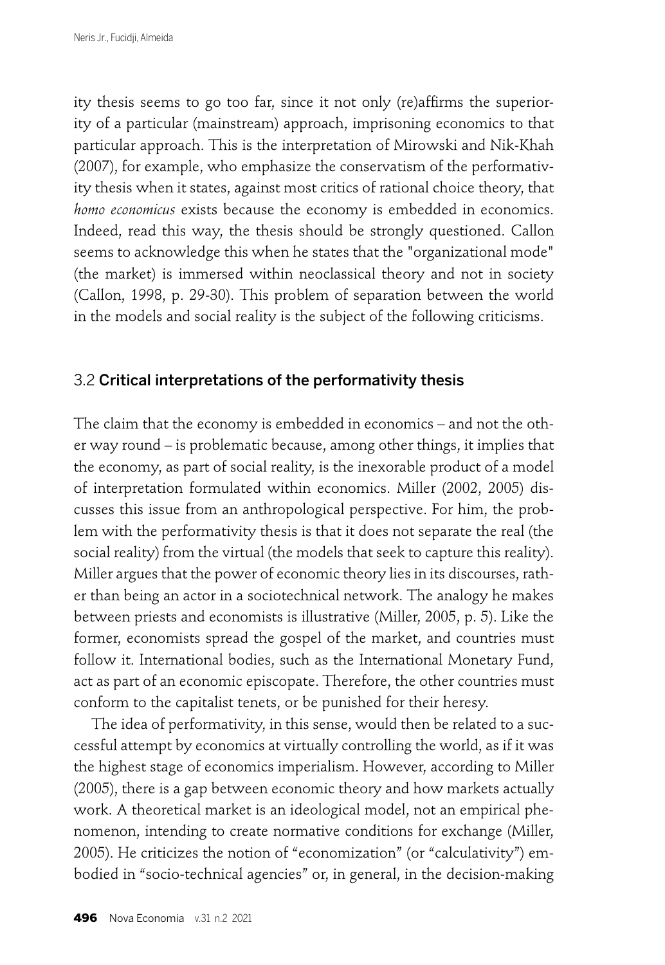ity thesis seems to go too far, since it not only (re)affirms the superiority of a particular (mainstream) approach, imprisoning economics to that particular approach. This is the interpretation of Mirowski and Nik-Khah (2007), for example, who emphasize the conservatism of the performativity thesis when it states, against most critics of rational choice theory, that *homo economicus* exists because the economy is embedded in economics. Indeed, read this way, the thesis should be strongly questioned. Callon seems to acknowledge this when he states that the "organizational mode" (the market) is immersed within neoclassical theory and not in society (Callon, 1998, p. 29-30). This problem of separation between the world in the models and social reality is the subject of the following criticisms.

### 3.2 Critical interpretations of the performativity thesis

The claim that the economy is embedded in economics – and not the other way round – is problematic because, among other things, it implies that the economy, as part of social reality, is the inexorable product of a model of interpretation formulated within economics. Miller (2002, 2005) discusses this issue from an anthropological perspective. For him, the problem with the performativity thesis is that it does not separate the real (the social reality) from the virtual (the models that seek to capture this reality). Miller argues that the power of economic theory lies in its discourses, rather than being an actor in a sociotechnical network. The analogy he makes between priests and economists is illustrative (Miller, 2005, p. 5). Like the former, economists spread the gospel of the market, and countries must follow it. International bodies, such as the International Monetary Fund, act as part of an economic episcopate. Therefore, the other countries must conform to the capitalist tenets, or be punished for their heresy.

The idea of performativity, in this sense, would then be related to a successful attempt by economics at virtually controlling the world, as if it was the highest stage of economics imperialism. However, according to Miller (2005), there is a gap between economic theory and how markets actually work. A theoretical market is an ideological model, not an empirical phenomenon, intending to create normative conditions for exchange (Miller, 2005). He criticizes the notion of "economization" (or "calculativity") embodied in "socio-technical agencies" or, in general, in the decision-making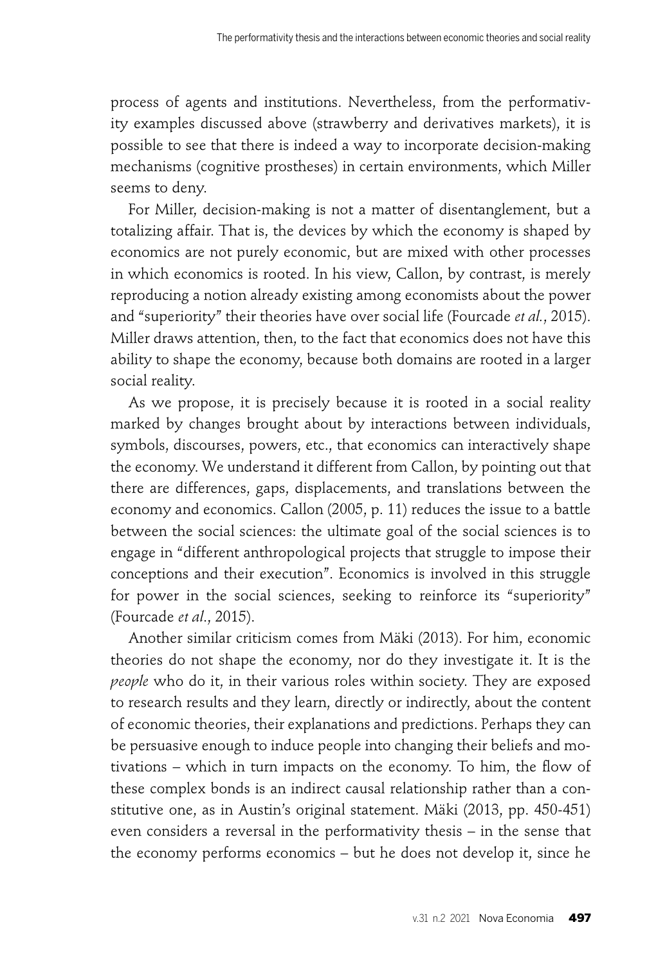process of agents and institutions. Nevertheless, from the performativity examples discussed above (strawberry and derivatives markets), it is possible to see that there is indeed a way to incorporate decision-making mechanisms (cognitive prostheses) in certain environments, which Miller seems to deny.

For Miller, decision-making is not a matter of disentanglement, but a totalizing affair. That is, the devices by which the economy is shaped by economics are not purely economic, but are mixed with other processes in which economics is rooted. In his view, Callon, by contrast, is merely reproducing a notion already existing among economists about the power and "superiority" their theories have over social life (Fourcade *et al.*, 2015). Miller draws attention, then, to the fact that economics does not have this ability to shape the economy, because both domains are rooted in a larger social reality.

As we propose, it is precisely because it is rooted in a social reality marked by changes brought about by interactions between individuals, symbols, discourses, powers, etc., that economics can interactively shape the economy. We understand it different from Callon, by pointing out that there are differences, gaps, displacements, and translations between the economy and economics. Callon (2005, p. 11) reduces the issue to a battle between the social sciences: the ultimate goal of the social sciences is to engage in "different anthropological projects that struggle to impose their conceptions and their execution". Economics is involved in this struggle for power in the social sciences, seeking to reinforce its "superiority" (Fourcade *et al*., 2015).

Another similar criticism comes from Mäki (2013). For him, economic theories do not shape the economy, nor do they investigate it. It is the *people* who do it, in their various roles within society. They are exposed to research results and they learn, directly or indirectly, about the content of economic theories, their explanations and predictions. Perhaps they can be persuasive enough to induce people into changing their beliefs and motivations – which in turn impacts on the economy. To him, the flow of these complex bonds is an indirect causal relationship rather than a constitutive one, as in Austin's original statement. Mäki (2013, pp. 450-451) even considers a reversal in the performativity thesis – in the sense that the economy performs economics – but he does not develop it, since he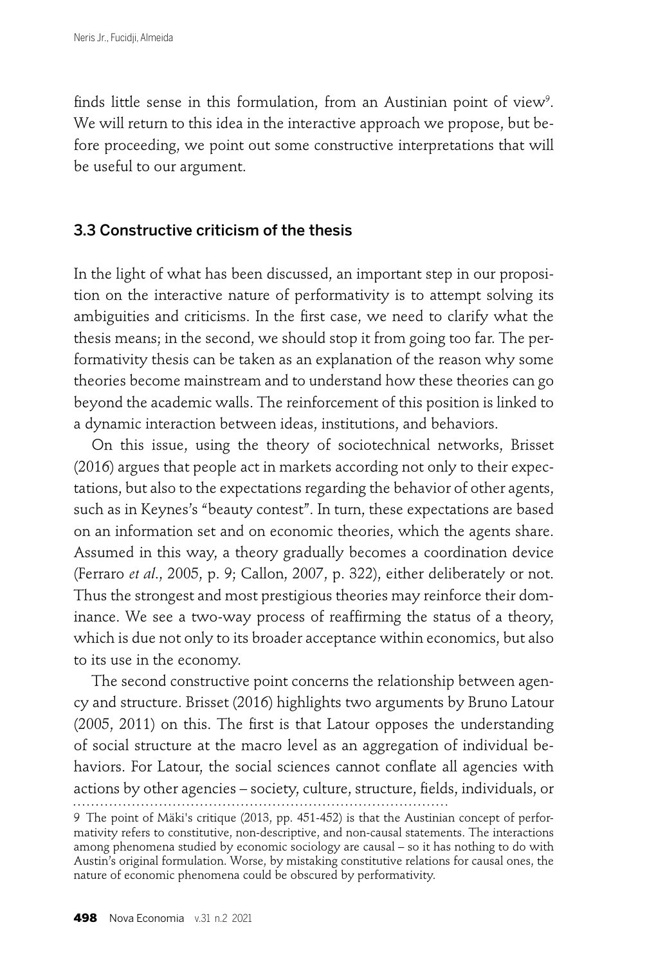finds little sense in this formulation, from an Austinian point of view<sup>9</sup>. We will return to this idea in the interactive approach we propose, but before proceeding, we point out some constructive interpretations that will be useful to our argument.

## 3.3 Constructive criticism of the thesis

In the light of what has been discussed, an important step in our proposition on the interactive nature of performativity is to attempt solving its ambiguities and criticisms. In the first case, we need to clarify what the thesis means; in the second, we should stop it from going too far. The performativity thesis can be taken as an explanation of the reason why some theories become mainstream and to understand how these theories can go beyond the academic walls. The reinforcement of this position is linked to a dynamic interaction between ideas, institutions, and behaviors.

On this issue, using the theory of sociotechnical networks, Brisset (2016) argues that people act in markets according not only to their expectations, but also to the expectations regarding the behavior of other agents, such as in Keynes's "beauty contest". In turn, these expectations are based on an information set and on economic theories, which the agents share. Assumed in this way, a theory gradually becomes a coordination device (Ferraro *et al*., 2005, p. 9; Callon, 2007, p. 322), either deliberately or not. Thus the strongest and most prestigious theories may reinforce their dominance. We see a two-way process of reaffirming the status of a theory, which is due not only to its broader acceptance within economics, but also to its use in the economy.

The second constructive point concerns the relationship between agency and structure. Brisset (2016) highlights two arguments by Bruno Latour  $(2005, 2011)$  on this. The first is that Latour opposes the understanding of social structure at the macro level as an aggregation of individual behaviors. For Latour, the social sciences cannot conflate all agencies with actions by other agencies – society, culture, structure, fi elds, individuals, or

<sup>9</sup> The point of Mäki's critique (2013, pp. 451-452) is that the Austinian concept of performativity refers to constitutive, non-descriptive, and non-causal statements. The interactions among phenomena studied by economic sociology are causal – so it has nothing to do with Austin's original formulation. Worse, by mistaking constitutive relations for causal ones, the nature of economic phenomena could be obscured by performativity.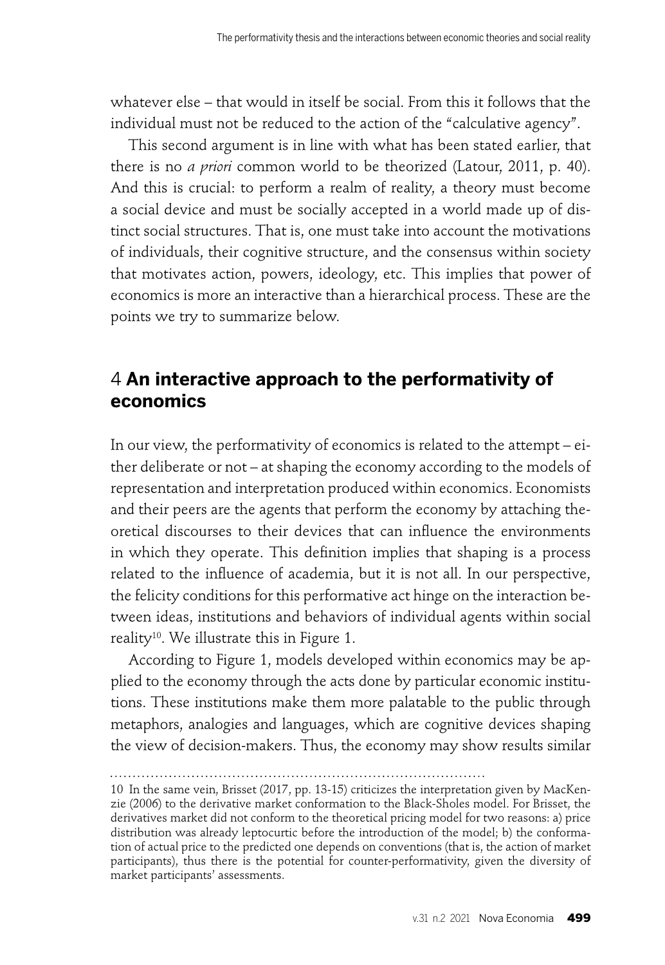whatever else – that would in itself be social. From this it follows that the individual must not be reduced to the action of the "calculative agency".

This second argument is in line with what has been stated earlier, that there is no *a priori* common world to be theorized (Latour, 2011, p. 40). And this is crucial: to perform a realm of reality, a theory must become a social device and must be socially accepted in a world made up of distinct social structures. That is, one must take into account the motivations of individuals, their cognitive structure, and the consensus within society that motivates action, powers, ideology, etc. This implies that power of economics is more an interactive than a hierarchical process. These are the points we try to summarize below.

## 4 **An interactive approach to the performativity of economics**

In our view, the performativity of economics is related to the attempt – either deliberate or not – at shaping the economy according to the models of representation and interpretation produced within economics. Economists and their peers are the agents that perform the economy by attaching theoretical discourses to their devices that can influence the environments in which they operate. This definition implies that shaping is a process related to the influence of academia, but it is not all. In our perspective, the felicity conditions for this performative act hinge on the interaction between ideas, institutions and behaviors of individual agents within social reality<sup>10</sup>. We illustrate this in Figure 1.

According to Figure 1, models developed within economics may be applied to the economy through the acts done by particular economic institutions. These institutions make them more palatable to the public through metaphors, analogies and languages, which are cognitive devices shaping the view of decision-makers. Thus, the economy may show results similar

<sup>10</sup> In the same vein, Brisset (2017, pp. 13-15) criticizes the interpretation given by MacKenzie (2006) to the derivative market conformation to the Black-Sholes model. For Brisset, the derivatives market did not conform to the theoretical pricing model for two reasons: a) price distribution was already leptocurtic before the introduction of the model; b) the conformation of actual price to the predicted one depends on conventions (that is, the action of market participants), thus there is the potential for counter-performativity, given the diversity of market participants' assessments.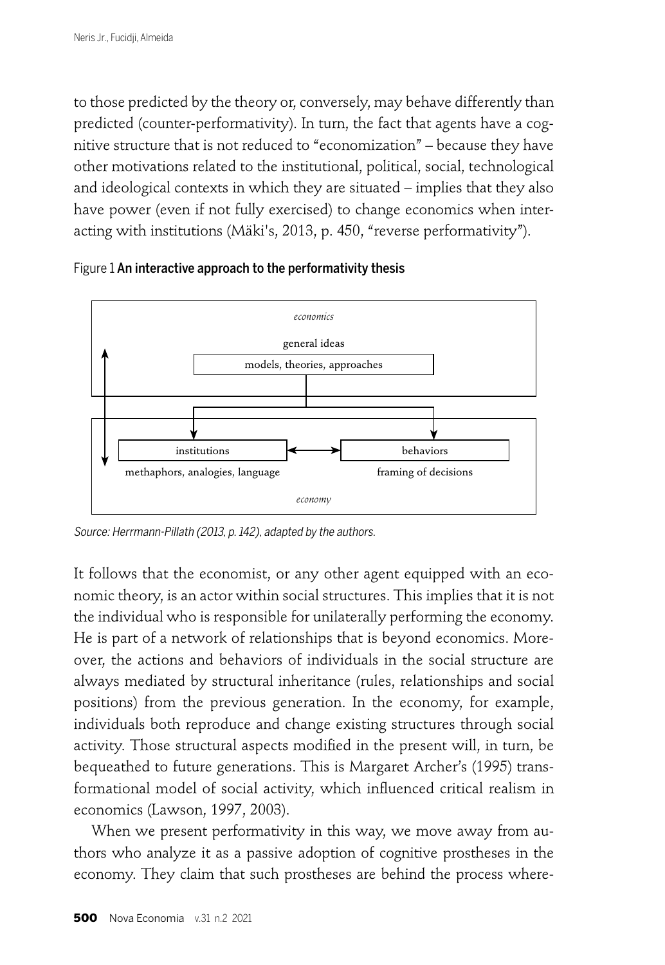to those predicted by the theory or, conversely, may behave differently than predicted (counter-performativity). In turn, the fact that agents have a cognitive structure that is not reduced to "economization" – because they have other motivations related to the institutional, political, social, technological and ideological contexts in which they are situated – implies that they also have power (even if not fully exercised) to change economics when interacting with institutions (Mäki's, 2013, p. 450, "reverse performativity").



Figure 1 An interactive approach to the performativity thesis

Source: Herrmann-Pillath (2013, p. 142), adapted by the authors.

It follows that the economist, or any other agent equipped with an economic theory, is an actor within social structures. This implies that it is not the individual who is responsible for unilaterally performing the economy. He is part of a network of relationships that is beyond economics. Moreover, the actions and behaviors of individuals in the social structure are always mediated by structural inheritance (rules, relationships and social positions) from the previous generation. In the economy, for example, individuals both reproduce and change existing structures through social activity. Those structural aspects modified in the present will, in turn, be bequeathed to future generations. This is Margaret Archer's (1995) transformational model of social activity, which influenced critical realism in economics (Lawson, 1997, 2003).

When we present performativity in this way, we move away from authors who analyze it as a passive adoption of cognitive prostheses in the economy. They claim that such prostheses are behind the process where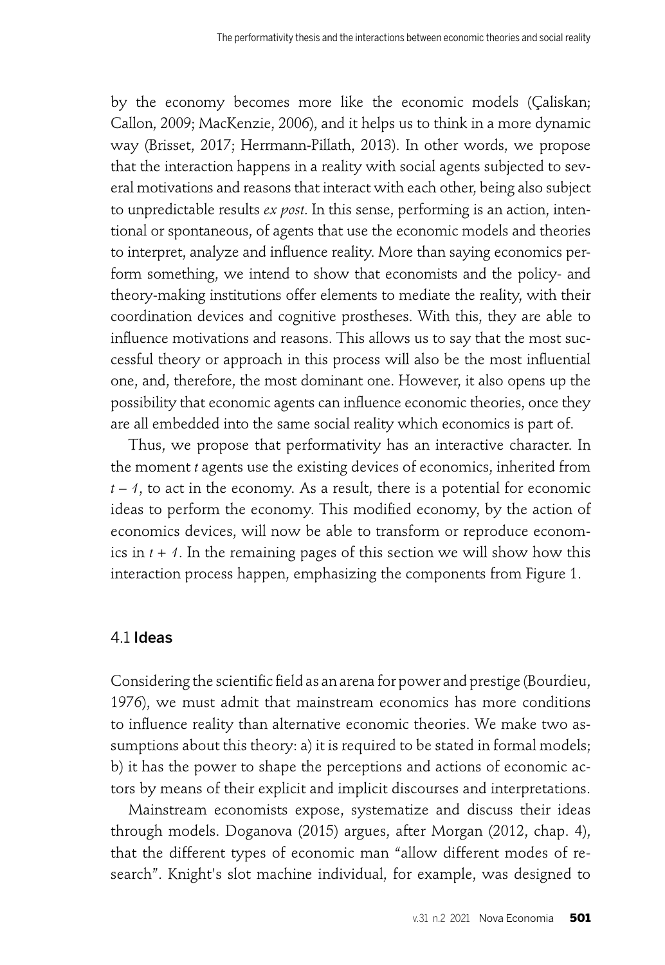by the economy becomes more like the economic models (Çaliskan; Callon, 2009; MacKenzie, 2006), and it helps us to think in a more dynamic way (Brisset, 2017; Herrmann-Pillath, 2013). In other words, we propose that the interaction happens in a reality with social agents subjected to several motivations and reasons that interact with each other, being also subject to unpredictable results *ex post*. In this sense, performing is an action, intentional or spontaneous, of agents that use the economic models and theories to interpret, analyze and influence reality. More than saying economics perform something, we intend to show that economists and the policy- and theory-making institutions offer elements to mediate the reality, with their coordination devices and cognitive prostheses. With this, they are able to influence motivations and reasons. This allows us to say that the most successful theory or approach in this process will also be the most influential one, and, therefore, the most dominant one. However, it also opens up the possibility that economic agents can influence economic theories, once they are all embedded into the same social reality which economics is part of.

Thus, we propose that performativity has an interactive character. In the moment *t* agents use the existing devices of economics, inherited from *t* – *1*, to act in the economy. As a result, there is a potential for economic ideas to perform the economy. This modified economy, by the action of economics devices, will now be able to transform or reproduce economics in *t* + *1*. In the remaining pages of this section we will show how this interaction process happen, emphasizing the components from Figure 1.

## 4.1 Ideas

Considering the scientific field as an arena for power and prestige (Bourdieu, 1976), we must admit that mainstream economics has more conditions to influence reality than alternative economic theories. We make two assumptions about this theory: a) it is required to be stated in formal models; b) it has the power to shape the perceptions and actions of economic actors by means of their explicit and implicit discourses and interpretations.

Mainstream economists expose, systematize and discuss their ideas through models. Doganova (2015) argues, after Morgan (2012, chap. 4), that the different types of economic man "allow different modes of research". Knight's slot machine individual, for example, was designed to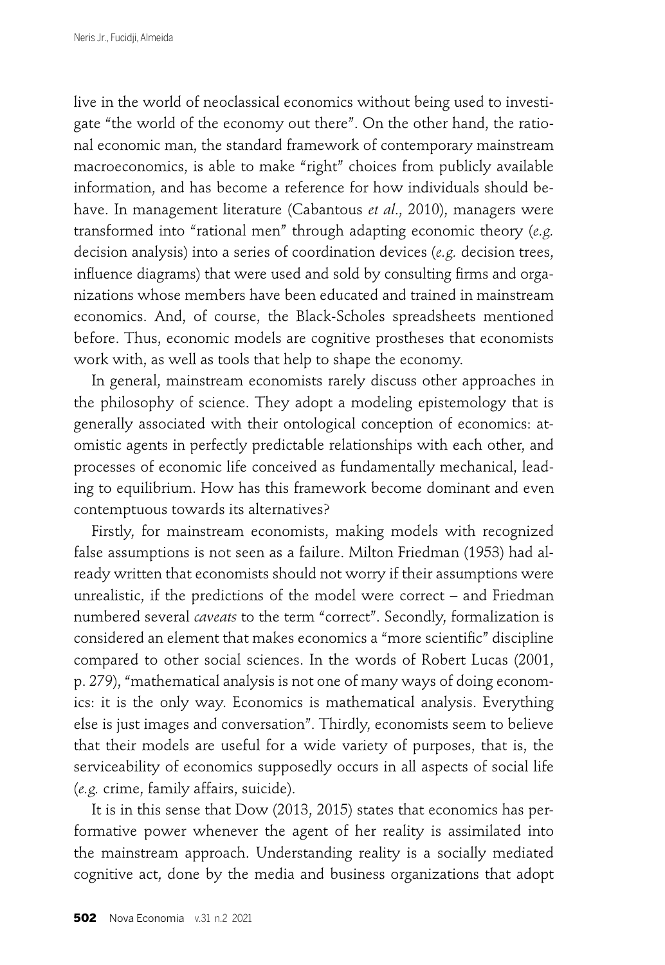live in the world of neoclassical economics without being used to investigate "the world of the economy out there". On the other hand, the rational economic man, the standard framework of contemporary mainstream macroeconomics, is able to make "right" choices from publicly available information, and has become a reference for how individuals should behave. In management literature (Cabantous *et al*., 2010), managers were transformed into "rational men" through adapting economic theory (*e.g.* decision analysis) into a series of coordination devices (*e.g.* decision trees, influence diagrams) that were used and sold by consulting firms and organizations whose members have been educated and trained in mainstream economics. And, of course, the Black-Scholes spreadsheets mentioned before. Thus, economic models are cognitive prostheses that economists work with, as well as tools that help to shape the economy.

In general, mainstream economists rarely discuss other approaches in the philosophy of science. They adopt a modeling epistemology that is generally associated with their ontological conception of economics: atomistic agents in perfectly predictable relationships with each other, and processes of economic life conceived as fundamentally mechanical, leading to equilibrium. How has this framework become dominant and even contemptuous towards its alternatives?

Firstly, for mainstream economists, making models with recognized false assumptions is not seen as a failure. Milton Friedman (1953) had already written that economists should not worry if their assumptions were unrealistic, if the predictions of the model were correct – and Friedman numbered several *caveats* to the term "correct". Secondly, formalization is considered an element that makes economics a "more scientific" discipline compared to other social sciences. In the words of Robert Lucas (2001, p. 279), "mathematical analysis is not one of many ways of doing economics: it is the only way. Economics is mathematical analysis. Everything else is just images and conversation". Thirdly, economists seem to believe that their models are useful for a wide variety of purposes, that is, the serviceability of economics supposedly occurs in all aspects of social life (*e.g.* crime, family affairs, suicide).

It is in this sense that Dow (2013, 2015) states that economics has performative power whenever the agent of her reality is assimilated into the mainstream approach. Understanding reality is a socially mediated cognitive act, done by the media and business organizations that adopt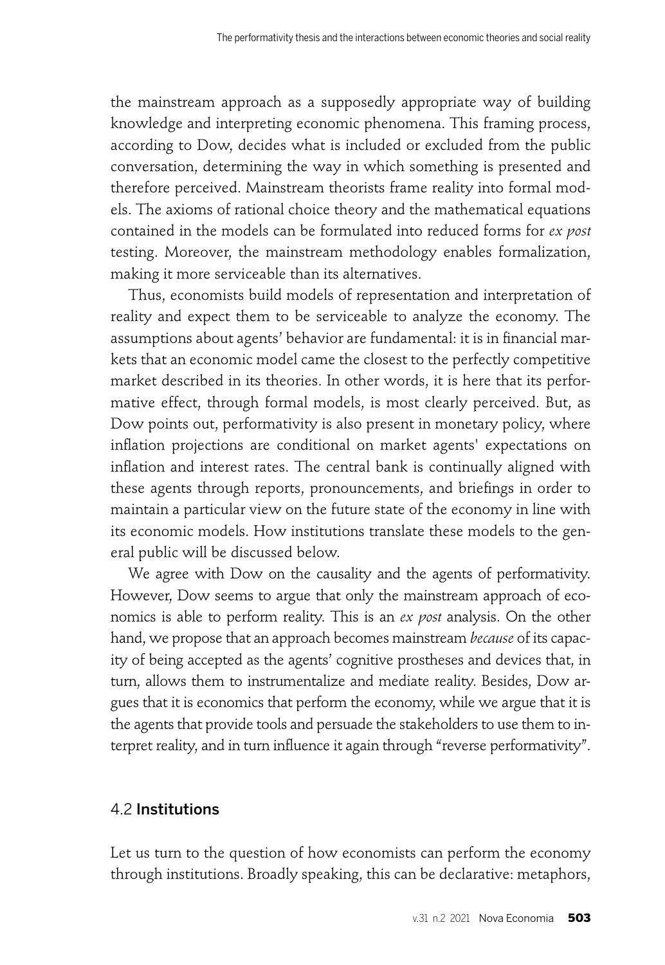the mainstream approach as a supposedly appropriate way of building knowledge and interpreting economic phenomena. This framing process, according to Dow, decides what is included or excluded from the public conversation, determining the way in which something is presented and therefore perceived. Mainstream theorists frame reality into formal models. The axioms of rational choice theory and the mathematical equations contained in the models can be formulated into reduced forms for *ex post* testing. Moreover, the mainstream methodology enables formalization, making it more serviceable than its alternatives.

Thus, economists build models of representation and interpretation of reality and expect them to be serviceable to analyze the economy. The assumptions about agents' behavior are fundamental: it is in financial markets that an economic model came the closest to the perfectly competitive market described in its theories. In other words, it is here that its performative effect, through formal models, is most clearly perceived. But, as Dow points out, performativity is also present in monetary policy, where inflation projections are conditional on market agents' expectations on inflation and interest rates. The central bank is continually aligned with these agents through reports, pronouncements, and briefings in order to maintain a particular view on the future state of the economy in line with its economic models. How institutions translate these models to the general public will be discussed below.

We agree with Dow on the causality and the agents of performativity. However, Dow seems to argue that only the mainstream approach of economics is able to perform reality. This is an *ex post* analysis. On the other hand, we propose that an approach becomes mainstream *because* of its capacity of being accepted as the agents' cognitive prostheses and devices that, in turn, allows them to instrumentalize and mediate reality. Besides, Dow argues that it is economics that perform the economy, while we argue that it is the agents that provide tools and persuade the stakeholders to use them to interpret reality, and in turn influence it again through "reverse performativity".

### 4.2 Institutions

Let us turn to the question of how economists can perform the economy through institutions. Broadly speaking, this can be declarative: metaphors,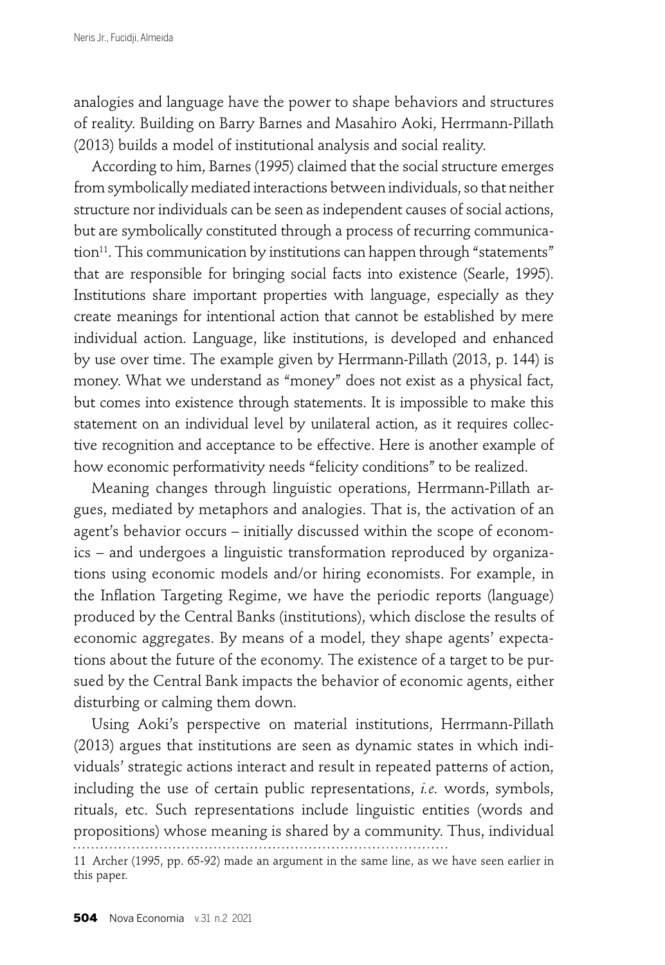analogies and language have the power to shape behaviors and structures of reality. Building on Barry Barnes and Masahiro Aoki, Herrmann-Pillath (2013) builds a model of institutional analysis and social reality.

According to him, Barnes (1995) claimed that the social structure emerges from symbolically mediated interactions between individuals, so that neither structure nor individuals can be seen as independent causes of social actions, but are symbolically constituted through a process of recurring communica- $\tau$ tion<sup>11</sup>. This communication by institutions can happen through "statements" that are responsible for bringing social facts into existence (Searle, 1995). Institutions share important properties with language, especially as they create meanings for intentional action that cannot be established by mere individual action. Language, like institutions, is developed and enhanced by use over time. The example given by Herrmann-Pillath (2013, p. 144) is money. What we understand as "money" does not exist as a physical fact, but comes into existence through statements. It is impossible to make this statement on an individual level by unilateral action, as it requires collective recognition and acceptance to be effective. Here is another example of how economic performativity needs "felicity conditions" to be realized.

Meaning changes through linguistic operations, Herrmann-Pillath argues, mediated by metaphors and analogies. That is, the activation of an agent's behavior occurs – initially discussed within the scope of economics – and undergoes a linguistic transformation reproduced by organizations using economic models and/or hiring economists. For example, in the Inflation Targeting Regime, we have the periodic reports (language) produced by the Central Banks (institutions), which disclose the results of economic aggregates. By means of a model, they shape agents' expectations about the future of the economy. The existence of a target to be pursued by the Central Bank impacts the behavior of economic agents, either disturbing or calming them down.

Using Aoki's perspective on material institutions, Herrmann-Pillath (2013) argues that institutions are seen as dynamic states in which individuals' strategic actions interact and result in repeated patterns of action, including the use of certain public representations, *i.e.* words, symbols, rituals, etc. Such representations include linguistic entities (words and propositions) whose meaning is shared by a community. Thus, individual

11 Archer (1995, pp. 65-92) made an argument in the same line, as we have seen earlier in this paper.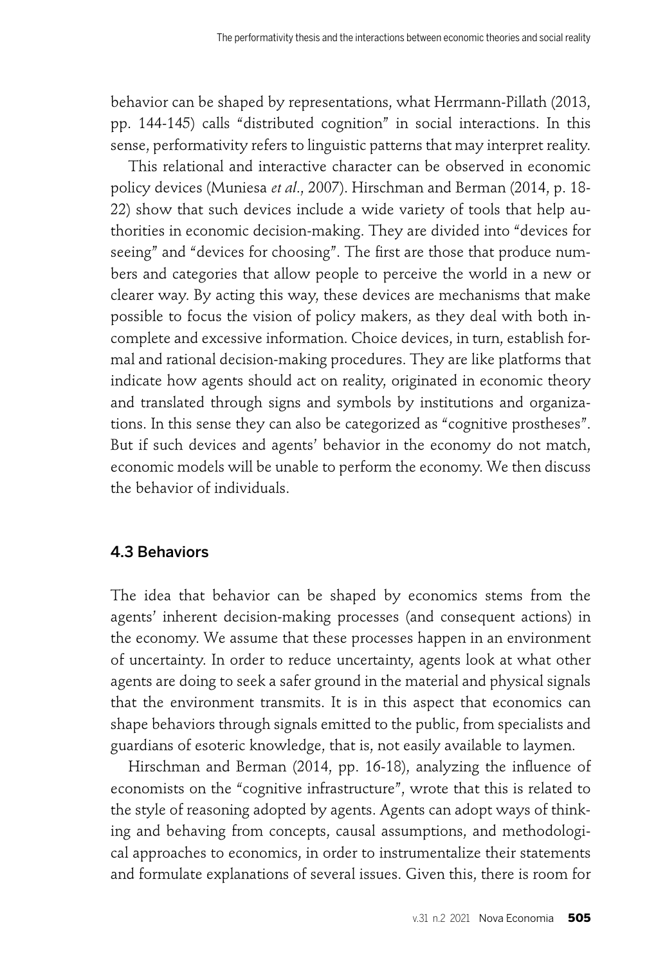behavior can be shaped by representations, what Herrmann-Pillath (2013, pp. 144-145) calls "distributed cognition" in social interactions. In this sense, performativity refers to linguistic patterns that may interpret reality.

This relational and interactive character can be observed in economic policy devices (Muniesa *et al*., 2007). Hirschman and Berman (2014, p. 18- 22) show that such devices include a wide variety of tools that help authorities in economic decision-making. They are divided into "devices for seeing" and "devices for choosing". The first are those that produce numbers and categories that allow people to perceive the world in a new or clearer way. By acting this way, these devices are mechanisms that make possible to focus the vision of policy makers, as they deal with both incomplete and excessive information. Choice devices, in turn, establish formal and rational decision-making procedures. They are like platforms that indicate how agents should act on reality, originated in economic theory and translated through signs and symbols by institutions and organizations. In this sense they can also be categorized as "cognitive prostheses". But if such devices and agents' behavior in the economy do not match, economic models will be unable to perform the economy. We then discuss the behavior of individuals.

### 4.3 Behaviors

The idea that behavior can be shaped by economics stems from the agents' inherent decision-making processes (and consequent actions) in the economy. We assume that these processes happen in an environment of uncertainty. In order to reduce uncertainty, agents look at what other agents are doing to seek a safer ground in the material and physical signals that the environment transmits. It is in this aspect that economics can shape behaviors through signals emitted to the public, from specialists and guardians of esoteric knowledge, that is, not easily available to laymen.

Hirschman and Berman (2014, pp. 16-18), analyzing the influence of economists on the "cognitive infrastructure", wrote that this is related to the style of reasoning adopted by agents. Agents can adopt ways of thinking and behaving from concepts, causal assumptions, and methodological approaches to economics, in order to instrumentalize their statements and formulate explanations of several issues. Given this, there is room for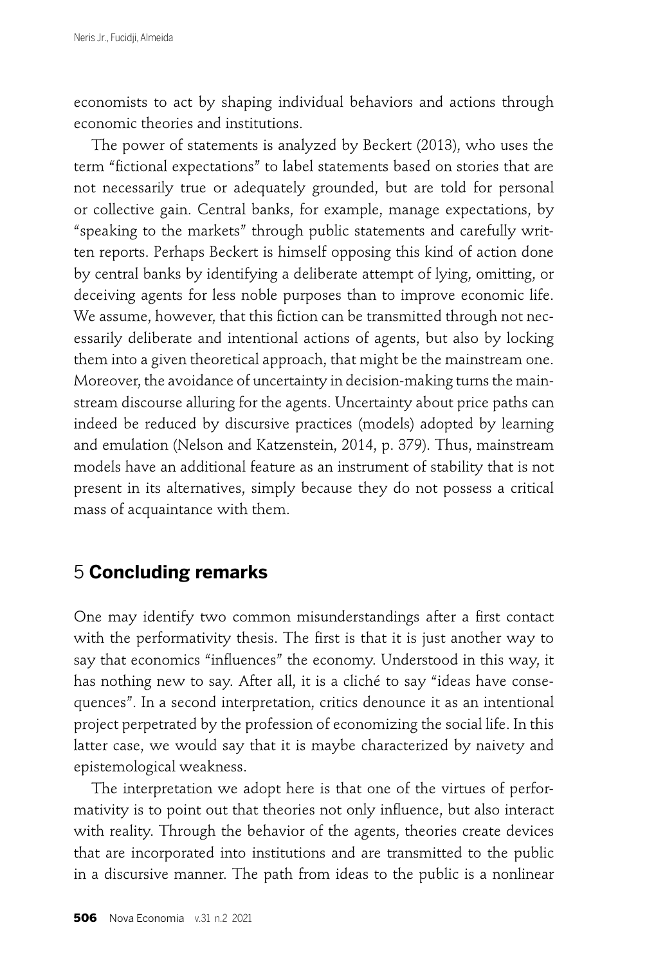economists to act by shaping individual behaviors and actions through economic theories and institutions.

The power of statements is analyzed by Beckert (2013), who uses the term "fictional expectations" to label statements based on stories that are not necessarily true or adequately grounded, but are told for personal or collective gain. Central banks, for example, manage expectations, by "speaking to the markets" through public statements and carefully written reports. Perhaps Beckert is himself opposing this kind of action done by central banks by identifying a deliberate attempt of lying, omitting, or deceiving agents for less noble purposes than to improve economic life. We assume, however, that this fiction can be transmitted through not necessarily deliberate and intentional actions of agents, but also by locking them into a given theoretical approach, that might be the mainstream one. Moreover, the avoidance of uncertainty in decision-making turns the mainstream discourse alluring for the agents. Uncertainty about price paths can indeed be reduced by discursive practices (models) adopted by learning and emulation (Nelson and Katzenstein, 2014, p. 379). Thus, mainstream models have an additional feature as an instrument of stability that is not present in its alternatives, simply because they do not possess a critical mass of acquaintance with them.

## 5 **Concluding remarks**

One may identify two common misunderstandings after a first contact with the performativity thesis. The first is that it is just another way to say that economics "influences" the economy. Understood in this way, it has nothing new to say. After all, it is a cliché to say "ideas have consequences". In a second interpretation, critics denounce it as an intentional project perpetrated by the profession of economizing the social life. In this latter case, we would say that it is maybe characterized by naivety and epistemological weakness.

The interpretation we adopt here is that one of the virtues of performativity is to point out that theories not only influence, but also interact with reality. Through the behavior of the agents, theories create devices that are incorporated into institutions and are transmitted to the public in a discursive manner. The path from ideas to the public is a nonlinear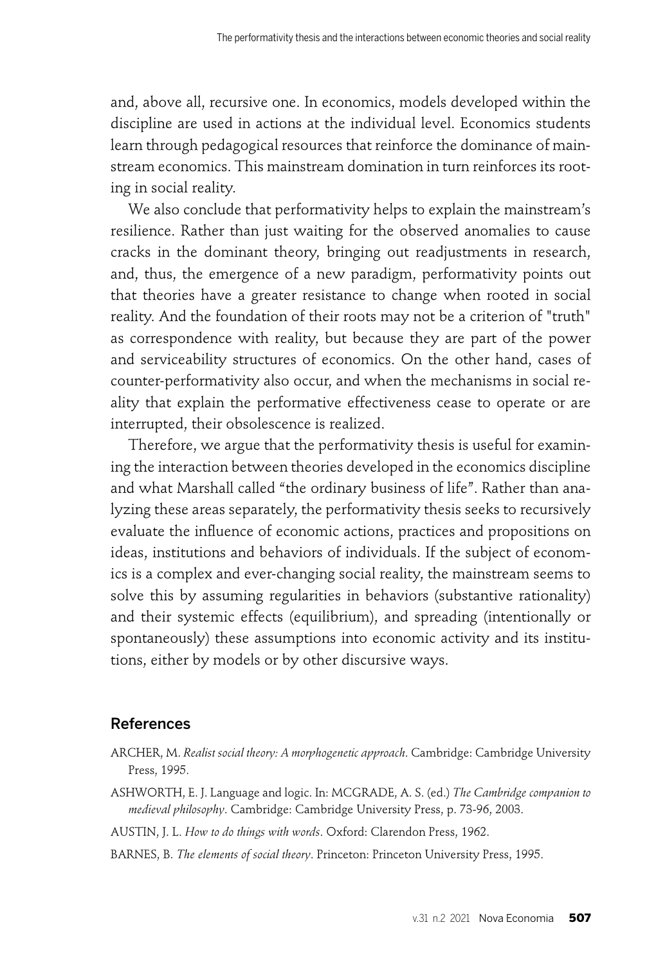and, above all, recursive one. In economics, models developed within the discipline are used in actions at the individual level. Economics students learn through pedagogical resources that reinforce the dominance of mainstream economics. This mainstream domination in turn reinforces its rooting in social reality.

We also conclude that performativity helps to explain the mainstream's resilience. Rather than just waiting for the observed anomalies to cause cracks in the dominant theory, bringing out readjustments in research, and, thus, the emergence of a new paradigm, performativity points out that theories have a greater resistance to change when rooted in social reality. And the foundation of their roots may not be a criterion of "truth" as correspondence with reality, but because they are part of the power and serviceability structures of economics. On the other hand, cases of counter-performativity also occur, and when the mechanisms in social reality that explain the performative effectiveness cease to operate or are interrupted, their obsolescence is realized.

Therefore, we argue that the performativity thesis is useful for examining the interaction between theories developed in the economics discipline and what Marshall called "the ordinary business of life". Rather than analyzing these areas separately, the performativity thesis seeks to recursively evaluate the influence of economic actions, practices and propositions on ideas, institutions and behaviors of individuals. If the subject of economics is a complex and ever-changing social reality, the mainstream seems to solve this by assuming regularities in behaviors (substantive rationality) and their systemic effects (equilibrium), and spreading (intentionally or spontaneously) these assumptions into economic activity and its institutions, either by models or by other discursive ways.

## References

- ARCHER, M. *Realist social theory: A morphogenetic approach*. Cambridge: Cambridge University Press, 1995.
- ASHWORTH, E. J. Language and logic. In: MCGRADE, A. S. (ed.) *The Cambridge companion to medieval philosophy*. Cambridge: Cambridge University Press, p. 73-96, 2003.
- AUSTIN, J. L. *How to do things with words*. Oxford: Clarendon Press, 1962.
- BARNES, B. *The elements of social theory*. Princeton: Princeton University Press, 1995.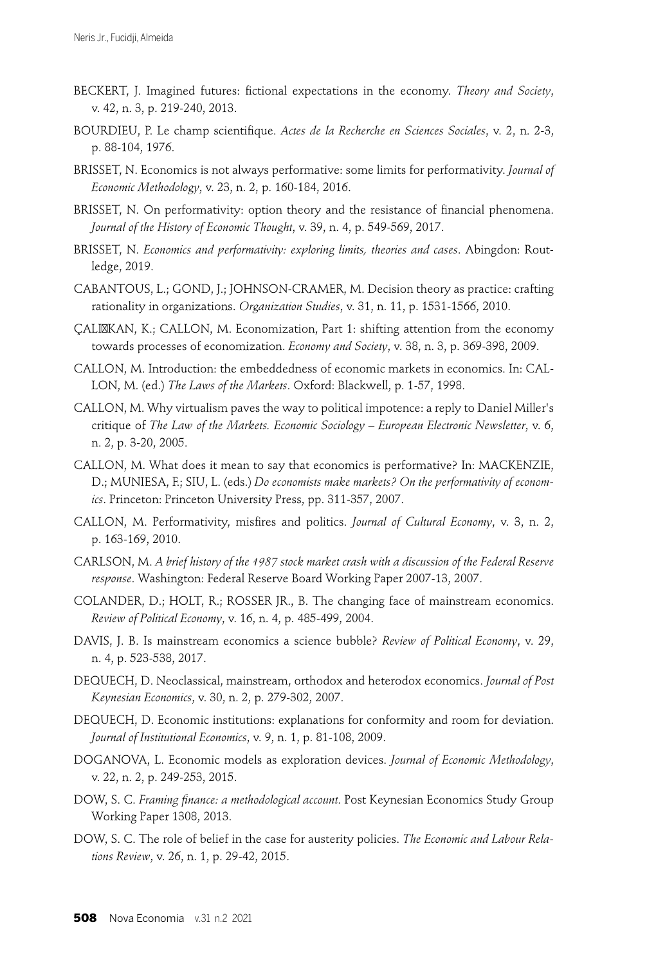- BECKERT, J. Imagined futures: fictional expectations in the economy. *Theory and Society*, v. 42, n. 3, p. 219-240, 2013.
- BOURDIEU, P. Le champ scientifique. *Actes de la Recherche en Sciences Sociales*, v. 2, n. 2-3, p. 88-104, 1976.
- BRISSET, N. Economics is not always performative: some limits for performativity. *Journal of Economic Methodology*, v. 23, n. 2, p. 160-184, 2016.
- BRISSET, N. On performativity: option theory and the resistance of financial phenomena. *Journal of the History of Economic Thought*, v. 39, n. 4, p. 549-569, 2017.
- BRISSET, N. *Economics and performativity: exploring limits, theories and cases*. Abingdon: Routledge, 2019.
- CABANTOUS, L.; GOND, J.; JOHNSON-CRAMER, M. Decision theory as practice: crafting rationality in organizations. *Organization Studies*, v. 31, n. 11, p. 1531-1566, 2010.
- ÇALI KAN, K.; CALLON, M. Economization, Part 1: shifting attention from the economy towards processes of economization. *Economy and Society*, v. 38, n. 3, p. 369-398, 2009.
- CALLON, M. Introduction: the embeddedness of economic markets in economics. In: CAL-LON, M. (ed.) *The Laws of the Markets*. Oxford: Blackwell, p. 1-57, 1998.
- CALLON, M. Why virtualism paves the way to political impotence: a reply to Daniel Miller's critique of *The Law of the Markets. Economic Sociology – European Electronic Newsletter*, v. 6, n. 2, p. 3-20, 2005.
- CALLON, M. What does it mean to say that economics is performative? In: MACKENZIE, D.; MUNIESA, F.; SIU, L. (eds.) *Do economists make markets? On the performativity of economics*. Princeton: Princeton University Press, pp. 311-357, 2007.
- CALLON, M. Performativity, misfires and politics. *Journal of Cultural Economy*, v. 3, n. 2, p. 163-169, 2010.
- CARLSON, M. *A brief history of the 1987 stock market crash with a discussion of the Federal Reserve response*. Washington: Federal Reserve Board Working Paper 2007-13, 2007.
- COLANDER, D.; HOLT, R.; ROSSER JR., B. The changing face of mainstream economics. *Review of Political Economy*, v. 16, n. 4, p. 485-499, 2004.
- DAVIS, J. B. Is mainstream economics a science bubble? *Review of Political Economy*, v. 29, n. 4, p. 523-538, 2017.
- DEQUECH, D. Neoclassical, mainstream, orthodox and heterodox economics. *Journal of Post Keynesian Economics*, v. 30, n. 2, p. 279-302, 2007.
- DEQUECH, D. Economic institutions: explanations for conformity and room for deviation. *Journal of Institutional Economics*, v. 9, n. 1, p. 81-108, 2009.
- DOGANOVA, L. Economic models as exploration devices. *Journal of Economic Methodology*, v. 22, n. 2, p. 249-253, 2015.
- DOW, S. C. Framing finance: a methodological account. Post Keynesian Economics Study Group Working Paper 1308, 2013.
- DOW, S. C. The role of belief in the case for austerity policies. *The Economic and Labour Relations Review*, v. 26, n. 1, p. 29-42, 2015.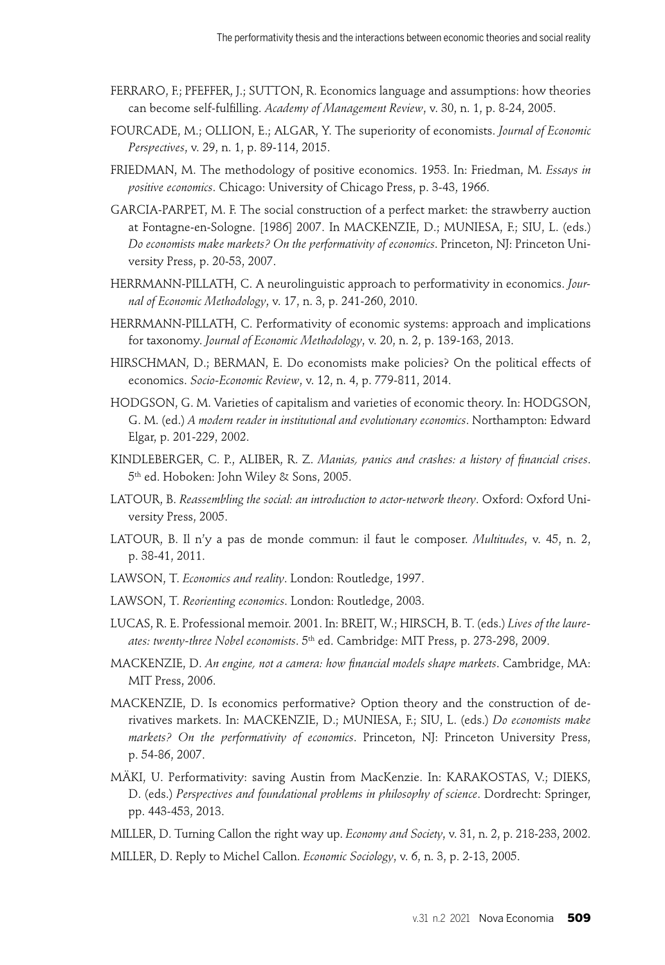- FERRARO, F.; PFEFFER, J.; SUTTON, R. Economics language and assumptions: how theories can become self-fulfilling. *Academy of Management Review*, v. 30, n. 1, p. 8-24, 2005.
- FOURCADE, M.; OLLION, E.; ALGAR, Y. The superiority of economists. *Journal of Economic Perspectives*, v. 29, n. 1, p. 89-114, 2015.
- FRIEDMAN, M. The methodology of positive economics. 1953. In: Friedman, M. *Essays in positive economics*. Chicago: University of Chicago Press, p. 3-43, 1966.
- GARCIA-PARPET, M. F. The social construction of a perfect market: the strawberry auction at Fontagne-en-Sologne. [1986] 2007. In MACKENZIE, D.; MUNIESA, F.; SIU, L. (eds.) *Do economists make markets? On the performativity of economics*. Princeton, NJ: Princeton University Press, p. 20-53, 2007.
- HERRMANN-PILLATH, C. A neurolinguistic approach to performativity in economics. *Journal of Economic Methodology*, v. 17, n. 3, p. 241-260, 2010.
- HERRMANN-PILLATH, C. Performativity of economic systems: approach and implications for taxonomy. *Journal of Economic Methodology*, v. 20, n. 2, p. 139-163, 2013.
- HIRSCHMAN, D.; BERMAN, E. Do economists make policies? On the political effects of economics. *Socio-Economic Review*, v. 12, n. 4, p. 779-811, 2014.
- HODGSON, G. M. Varieties of capitalism and varieties of economic theory. In: HODGSON, G. M. (ed.) *A modern reader in institutional and evolutionary economics*. Northampton: Edward Elgar, p. 201-229, 2002.
- KINDLEBERGER, C. P., ALIBER, R. Z. *Manias, panics and crashes: a history of financial crises*. 5th ed. Hoboken: John Wiley & Sons, 2005.
- LATOUR, B. *Reassembling the social: an introduction to actor-network theory*. Oxford: Oxford University Press, 2005.
- LATOUR, B. Il n'y a pas de monde commun: il faut le composer. *Multitudes*, v. 45, n. 2, p. 38-41, 2011.
- LAWSON, T. *Economics and reality*. London: Routledge, 1997.
- LAWSON, T. *Reorienting economics*. London: Routledge, 2003.
- LUCAS, R. E. Professional memoir. 2001. In: BREIT, W.; HIRSCH, B. T. (eds.) *Lives of the laureates: twenty-three Nobel economists*. 5th ed. Cambridge: MIT Press, p. 273-298, 2009.
- MACKENZIE, D. An engine, not a camera: how financial models shape markets. Cambridge, MA: MIT Press, 2006.
- MACKENZIE, D. Is economics performative? Option theory and the construction of derivatives markets. In: MACKENZIE, D.; MUNIESA, F.; SIU, L. (eds.) *Do economists make markets? On the performativity of economics*. Princeton, NJ: Princeton University Press, p. 54-86, 2007.
- MÄKI, U. Performativity: saving Austin from MacKenzie. In: KARAKOSTAS, V.; DIEKS, D. (eds.) *Perspectives and foundational problems in philosophy of science*. Dordrecht: Springer, pp. 443-453, 2013.
- MILLER, D. Turning Callon the right way up. *Economy and Society*, v. 31, n. 2, p. 218-233, 2002.
- MILLER, D. Reply to Michel Callon. *Economic Sociology*, v. 6, n. 3, p. 2-13, 2005.